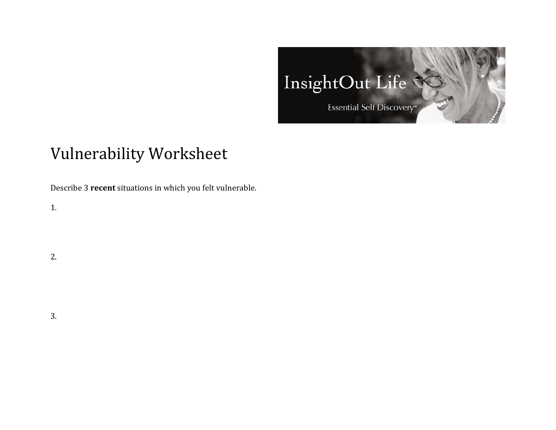

## Vulnerability Worksheet

Describe 3 **recent** situations in which you felt vulnerable.

1.

2.

3.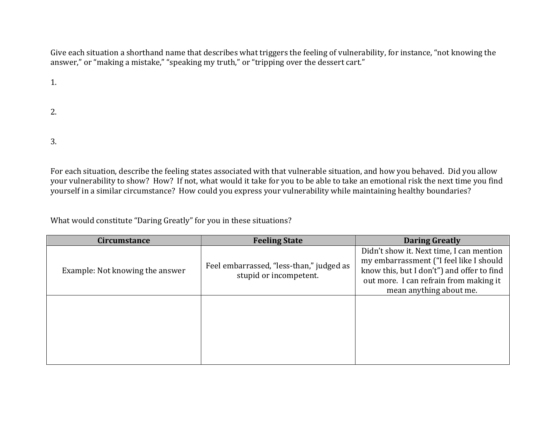Give each situation a shorthand name that describes what triggers the feeling of vulnerability, for instance, "not knowing the answer," or "making a mistake," "speaking my truth," or "tripping over the dessert cart."

1.

2.

3. 

For each situation, describe the feeling states associated with that vulnerable situation, and how you behaved. Did you allow your vulnerability to show? How? If not, what would it take for you to be able to take an emotional risk the next time you find yourself in a similar circumstance? How could you express your vulnerability while maintaining healthy boundaries?

What would constitute "Daring Greatly" for you in these situations?

| <b>Circumstance</b>             | <b>Feeling State</b>                                               | <b>Daring Greatly</b>                                                                                                                                                                                  |
|---------------------------------|--------------------------------------------------------------------|--------------------------------------------------------------------------------------------------------------------------------------------------------------------------------------------------------|
| Example: Not knowing the answer | Feel embarrassed, "less-than," judged as<br>stupid or incompetent. | Didn't show it. Next time, I can mention<br>my embarrassment ("I feel like I should<br>know this, but I don't") and offer to find<br>out more. I can refrain from making it<br>mean anything about me. |
|                                 |                                                                    |                                                                                                                                                                                                        |